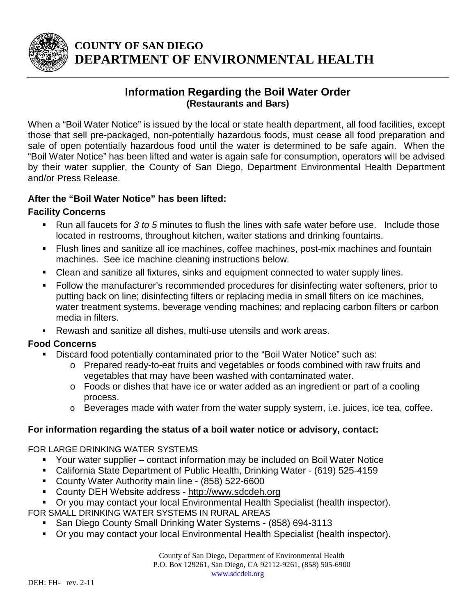

# **COUNTY OF SAN DIEGO DEPARTMENT OF ENVIRONMENTAL HEALTH**

## **Information Regarding the Boil Water Order (Restaurants and Bars)**

When a "Boil Water Notice" is issued by the local or state health department, all food facilities, except those that sell pre-packaged, non-potentially hazardous foods, must cease all food preparation and sale of open potentially hazardous food until the water is determined to be safe again. When the "Boil Water Notice" has been lifted and water is again safe for consumption, operators will be advised by their water supplier, the County of San Diego, Department Environmental Health Department and/or Press Release.

#### **After the "Boil Water Notice" has been lifted:**

### **Facility Concerns**

- Run all faucets for *3 to 5* minutes to flush the lines with safe water before use. Include those located in restrooms, throughout kitchen, waiter stations and drinking fountains.
- Flush lines and sanitize all ice machines, coffee machines, post-mix machines and fountain machines. See ice machine cleaning instructions below.
- Clean and sanitize all fixtures, sinks and equipment connected to water supply lines.
- Follow the manufacturer's recommended procedures for disinfecting water softeners, prior to putting back on line; disinfecting filters or replacing media in small filters on ice machines, water treatment systems, beverage vending machines; and replacing carbon filters or carbon media in filters.
- Rewash and sanitize all dishes, multi-use utensils and work areas.

### **Food Concerns**

- Discard food potentially contaminated prior to the "Boil Water Notice" such as:
	- o Prepared ready-to-eat fruits and vegetables or foods combined with raw fruits and vegetables that may have been washed with contaminated water.
	- o Foods or dishes that have ice or water added as an ingredient or part of a cooling process.
	- o Beverages made with water from the water supply system, i.e. juices, ice tea, coffee.

### **For information regarding the status of a boil water notice or advisory, contact:**

FOR LARGE DRINKING WATER SYSTEMS

- Your water supplier contact information may be included on Boil Water Notice
- California State Department of Public Health, Drinking Water (619) 525-4159
- County Water Authority main line (858) 522-6600
- County DEH Website address http://www.sdcdeh.org
- Or you may contact your local Environmental Health Specialist (health inspector).

FOR SMALL DRINKING WATER SYSTEMS IN RURAL AREAS

- **San Diego County Small Drinking Water Systems (858) 694-3113**
- Or you may contact your local Environmental Health Specialist (health inspector).